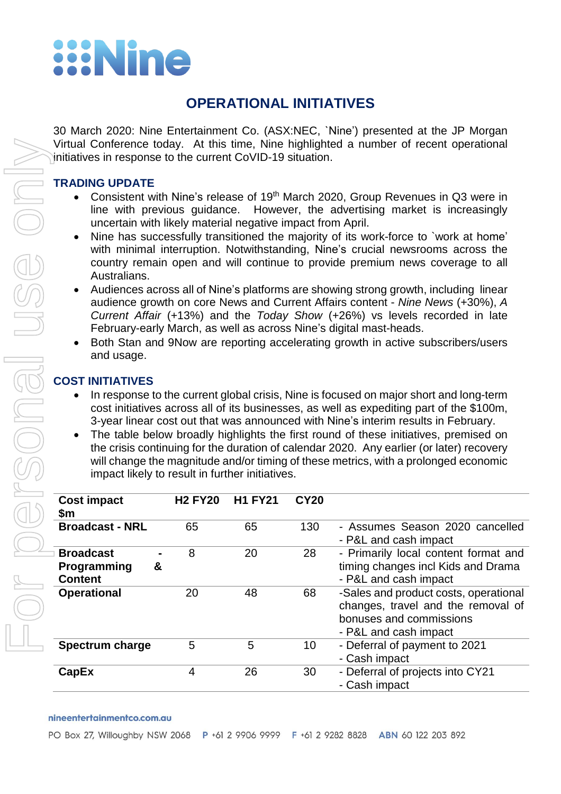# **Wine**

# **OPERATIONAL INITIATIVES**

30 March 2020: Nine Entertainment Co. (ASX:NEC, `Nine') presented at the JP Morgan Virtual Conference today. At this time, Nine highlighted a number of recent operational initiatives in response to the current CoVID-19 situation.

## **TRADING UPDATE**

- Consistent with Nine's release of 19<sup>th</sup> March 2020, Group Revenues in Q3 were in line with previous guidance. However, the advertising market is increasingly uncertain with likely material negative impact from April.
- Nine has successfully transitioned the majority of its work-force to `work at home' with minimal interruption. Notwithstanding, Nine's crucial newsrooms across the country remain open and will continue to provide premium news coverage to all Australians.
- Audiences across all of Nine's platforms are showing strong growth, including linear audience growth on core News and Current Affairs content - *Nine News* (+30%), *A Current Affair* (+13%) and the *Today Show* (+26%) vs levels recorded in late February-early March, as well as across Nine's digital mast-heads.
- Both Stan and 9Now are reporting accelerating growth in active subscribers/users and usage.

# **COST INITIATIVES**

- In response to the current global crisis, Nine is focused on major short and long-term cost initiatives across all of its businesses, as well as expediting part of the \$100m, 3-year linear cost out that was announced with Nine's interim results in February.
- The table below broadly highlights the first round of these initiatives, premised on the crisis continuing for the duration of calendar 2020. Any earlier (or later) recovery will change the magnitude and/or timing of these metrics, with a prolonged economic impact likely to result in further initiatives.

| <b>Cost impact</b><br>\$m                              | <b>H2 FY20</b> | <b>H1 FY21</b> | <b>CY20</b> |                                                                                                                                 |
|--------------------------------------------------------|----------------|----------------|-------------|---------------------------------------------------------------------------------------------------------------------------------|
| <b>Broadcast - NRL</b>                                 | 65             | 65             | 130         | - Assumes Season 2020 cancelled<br>- P&L and cash impact                                                                        |
| <b>Broadcast</b><br>Programming<br>&<br><b>Content</b> | 8              | 20             | 28          | - Primarily local content format and<br>timing changes incl Kids and Drama<br>- P&L and cash impact                             |
| <b>Operational</b>                                     | 20             | 48             | 68          | -Sales and product costs, operational<br>changes, travel and the removal of<br>bonuses and commissions<br>- P&L and cash impact |
| Spectrum charge                                        | 5              | 5              | 10          | - Deferral of payment to 2021<br>- Cash impact                                                                                  |
| CapEx                                                  | 4              | 26             | 30          | - Deferral of projects into CY21<br>- Cash impact                                                                               |

#### nineentertainmentco.com.au